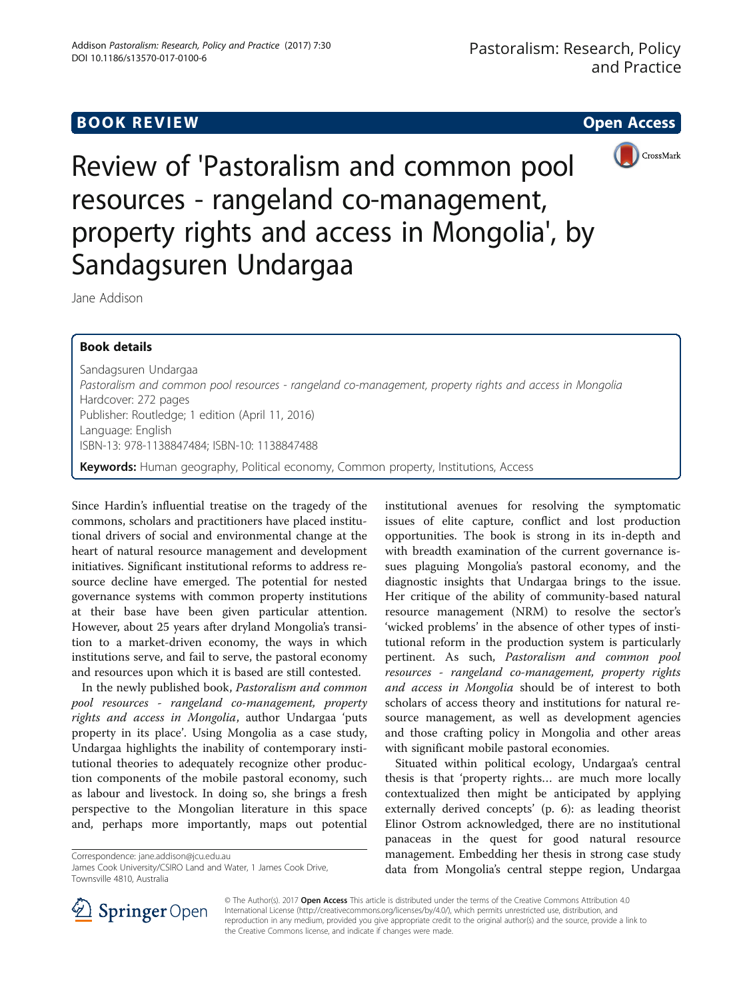# **BOOK REVIEW CONTROL** BOOK REVIEW



Review of 'Pastoralism and common pool resources - rangeland co-management, property rights and access in Mongolia', by Sandagsuren Undargaa

Jane Addison

### Book details

Sandagsuren Undargaa Pastoralism and common pool resources - rangeland co-management, property rights and access in Mongolia Hardcover: 272 pages Publisher: Routledge; 1 edition (April 11, 2016) Language: English ISBN-13: 978-1138847484; ISBN-10: 1138847488 Keywords: Human geography, Political economy, Common property, Institutions, Access

Since Hardin's influential treatise on the tragedy of the commons, scholars and practitioners have placed institutional drivers of social and environmental change at the heart of natural resource management and development initiatives. Significant institutional reforms to address resource decline have emerged. The potential for nested governance systems with common property institutions at their base have been given particular attention. However, about 25 years after dryland Mongolia's transition to a market-driven economy, the ways in which institutions serve, and fail to serve, the pastoral economy and resources upon which it is based are still contested.

In the newly published book, Pastoralism and common pool resources - rangeland co-management, property rights and access in Mongolia, author Undargaa 'puts property in its place'. Using Mongolia as a case study, Undargaa highlights the inability of contemporary institutional theories to adequately recognize other production components of the mobile pastoral economy, such as labour and livestock. In doing so, she brings a fresh perspective to the Mongolian literature in this space and, perhaps more importantly, maps out potential

Correspondence: [jane.addison@jcu.edu.au](mailto:jane.addison@jcu.edu.au)

James Cook University/CSIRO Land and Water, 1 James Cook Drive, Townsville 4810, Australia

institutional avenues for resolving the symptomatic issues of elite capture, conflict and lost production opportunities. The book is strong in its in-depth and with breadth examination of the current governance issues plaguing Mongolia's pastoral economy, and the diagnostic insights that Undargaa brings to the issue. Her critique of the ability of community-based natural resource management (NRM) to resolve the sector's 'wicked problems' in the absence of other types of institutional reform in the production system is particularly pertinent. As such, Pastoralism and common pool resources - rangeland co-management, property rights and access in Mongolia should be of interest to both scholars of access theory and institutions for natural resource management, as well as development agencies and those crafting policy in Mongolia and other areas with significant mobile pastoral economies.

Situated within political ecology, Undargaa's central thesis is that 'property rights… are much more locally contextualized then might be anticipated by applying externally derived concepts' (p. 6): as leading theorist Elinor Ostrom acknowledged, there are no institutional panaceas in the quest for good natural resource management. Embedding her thesis in strong case study data from Mongolia's central steppe region, Undargaa



© The Author(s). 2017 **Open Access** This article is distributed under the terms of the Creative Commons Attribution 4.0 International License ([http://creativecommons.org/licenses/by/4.0/\)](http://creativecommons.org/licenses/by/4.0/), which permits unrestricted use, distribution, and reproduction in any medium, provided you give appropriate credit to the original author(s) and the source, provide a link to the Creative Commons license, and indicate if changes were made.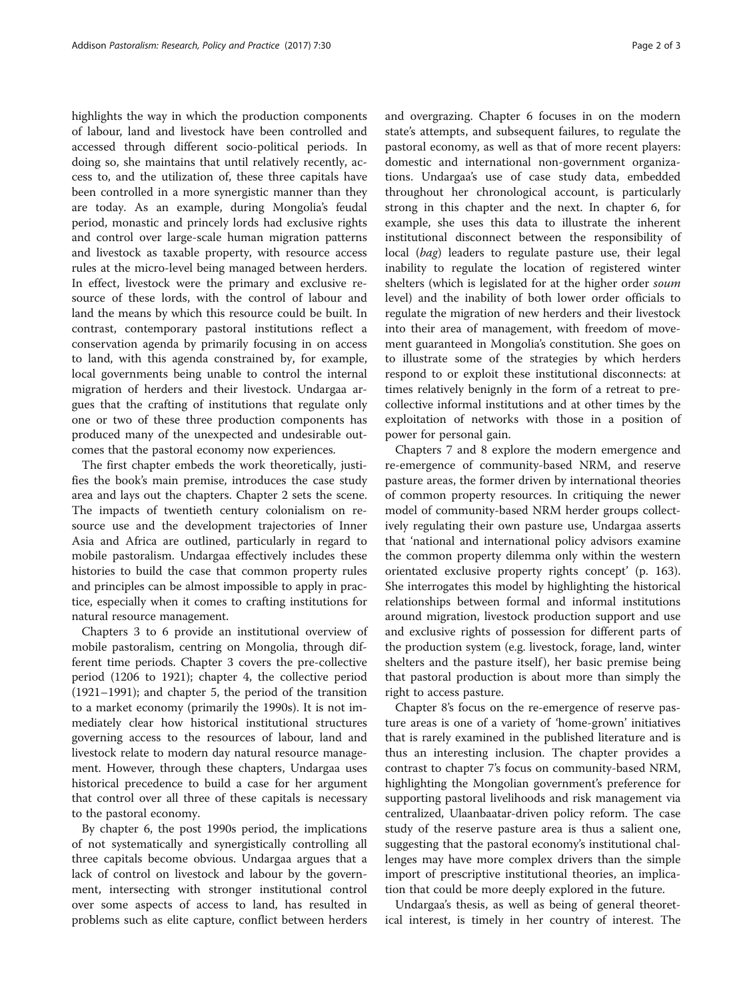highlights the way in which the production components of labour, land and livestock have been controlled and accessed through different socio-political periods. In doing so, she maintains that until relatively recently, access to, and the utilization of, these three capitals have been controlled in a more synergistic manner than they are today. As an example, during Mongolia's feudal period, monastic and princely lords had exclusive rights and control over large-scale human migration patterns and livestock as taxable property, with resource access rules at the micro-level being managed between herders. In effect, livestock were the primary and exclusive resource of these lords, with the control of labour and land the means by which this resource could be built. In contrast, contemporary pastoral institutions reflect a conservation agenda by primarily focusing in on access to land, with this agenda constrained by, for example, local governments being unable to control the internal migration of herders and their livestock. Undargaa argues that the crafting of institutions that regulate only one or two of these three production components has produced many of the unexpected and undesirable outcomes that the pastoral economy now experiences.

The first chapter embeds the work theoretically, justifies the book's main premise, introduces the case study area and lays out the chapters. Chapter 2 sets the scene. The impacts of twentieth century colonialism on resource use and the development trajectories of Inner Asia and Africa are outlined, particularly in regard to mobile pastoralism. Undargaa effectively includes these histories to build the case that common property rules and principles can be almost impossible to apply in practice, especially when it comes to crafting institutions for natural resource management.

Chapters 3 to 6 provide an institutional overview of mobile pastoralism, centring on Mongolia, through different time periods. Chapter 3 covers the pre-collective period (1206 to 1921); chapter 4, the collective period (1921–1991); and chapter 5, the period of the transition to a market economy (primarily the 1990s). It is not immediately clear how historical institutional structures governing access to the resources of labour, land and livestock relate to modern day natural resource management. However, through these chapters, Undargaa uses historical precedence to build a case for her argument that control over all three of these capitals is necessary to the pastoral economy.

By chapter 6, the post 1990s period, the implications of not systematically and synergistically controlling all three capitals become obvious. Undargaa argues that a lack of control on livestock and labour by the government, intersecting with stronger institutional control over some aspects of access to land, has resulted in problems such as elite capture, conflict between herders and overgrazing. Chapter 6 focuses in on the modern state's attempts, and subsequent failures, to regulate the pastoral economy, as well as that of more recent players: domestic and international non-government organizations. Undargaa's use of case study data, embedded throughout her chronological account, is particularly strong in this chapter and the next. In chapter 6, for example, she uses this data to illustrate the inherent institutional disconnect between the responsibility of local (bag) leaders to regulate pasture use, their legal inability to regulate the location of registered winter shelters (which is legislated for at the higher order soum level) and the inability of both lower order officials to regulate the migration of new herders and their livestock into their area of management, with freedom of movement guaranteed in Mongolia's constitution. She goes on to illustrate some of the strategies by which herders respond to or exploit these institutional disconnects: at times relatively benignly in the form of a retreat to precollective informal institutions and at other times by the exploitation of networks with those in a position of power for personal gain.

Chapters 7 and 8 explore the modern emergence and re-emergence of community-based NRM, and reserve pasture areas, the former driven by international theories of common property resources. In critiquing the newer model of community-based NRM herder groups collectively regulating their own pasture use, Undargaa asserts that 'national and international policy advisors examine the common property dilemma only within the western orientated exclusive property rights concept' (p. 163). She interrogates this model by highlighting the historical relationships between formal and informal institutions around migration, livestock production support and use and exclusive rights of possession for different parts of the production system (e.g. livestock, forage, land, winter shelters and the pasture itself), her basic premise being that pastoral production is about more than simply the right to access pasture.

Chapter 8's focus on the re-emergence of reserve pasture areas is one of a variety of 'home-grown' initiatives that is rarely examined in the published literature and is thus an interesting inclusion. The chapter provides a contrast to chapter 7's focus on community-based NRM, highlighting the Mongolian government's preference for supporting pastoral livelihoods and risk management via centralized, Ulaanbaatar-driven policy reform. The case study of the reserve pasture area is thus a salient one, suggesting that the pastoral economy's institutional challenges may have more complex drivers than the simple import of prescriptive institutional theories, an implication that could be more deeply explored in the future.

Undargaa's thesis, as well as being of general theoretical interest, is timely in her country of interest. The